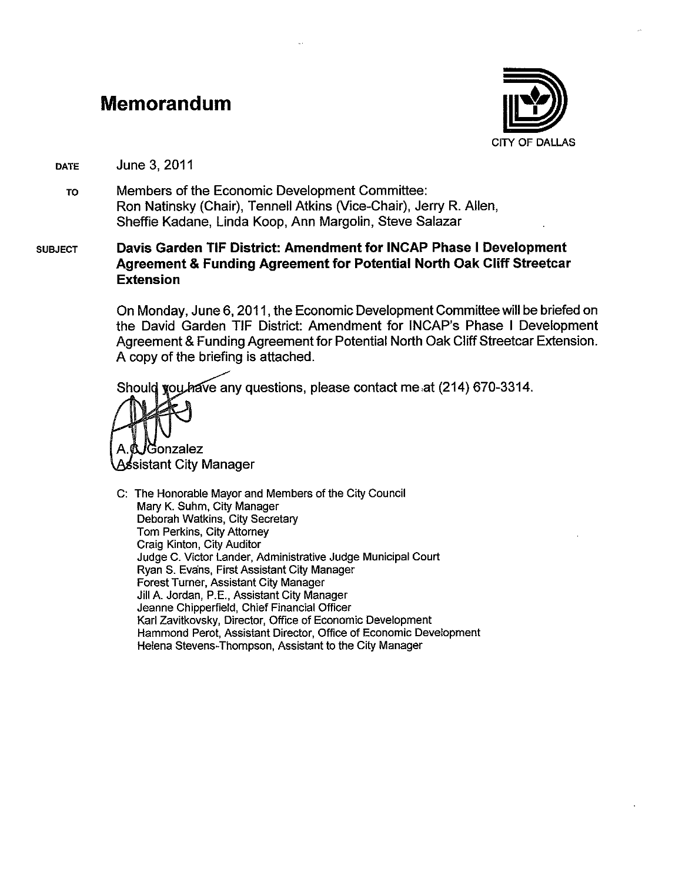#### Memorandum



June 3, 2011 **DATE** 

Members of the Economic Development Committee: **TO** Ron Natinsky (Chair), Tennell Atkins (Vice-Chair), Jerry R. Allen, Sheffie Kadane, Linda Koop, Ann Margolin, Steve Salazar

#### Davis Garden TIF District: Amendment for INCAP Phase I Development **SUBJECT Agreement & Funding Agreement for Potential North Oak Cliff Streetcar Extension**

On Monday, June 6, 2011, the Economic Development Committee will be briefed on the David Garden TIF District: Amendment for INCAP's Phase I Development Agreement & Funding Agreement for Potential North Oak Cliff Streetcar Extension. A copy of the briefing is attached.

Should vou have any questions, please contact me at (214) 670-3314.

ionzalez ssistant City Manager

C: The Honorable Mayor and Members of the City Council Mary K. Suhm, City Manager Deborah Watkins, City Secretary Tom Perkins, City Attorney Craig Kinton, City Auditor Judge C. Victor Lander, Administrative Judge Municipal Court Ryan S. Evans, First Assistant City Manager Forest Turner, Assistant City Manager Jill A. Jordan, P.E., Assistant City Manager Jeanne Chipperfield, Chief Financial Officer Karl Zavitkovsky, Director, Office of Economic Development Hammond Perot, Assistant Director, Office of Economic Development Helena Stevens-Thompson, Assistant to the City Manager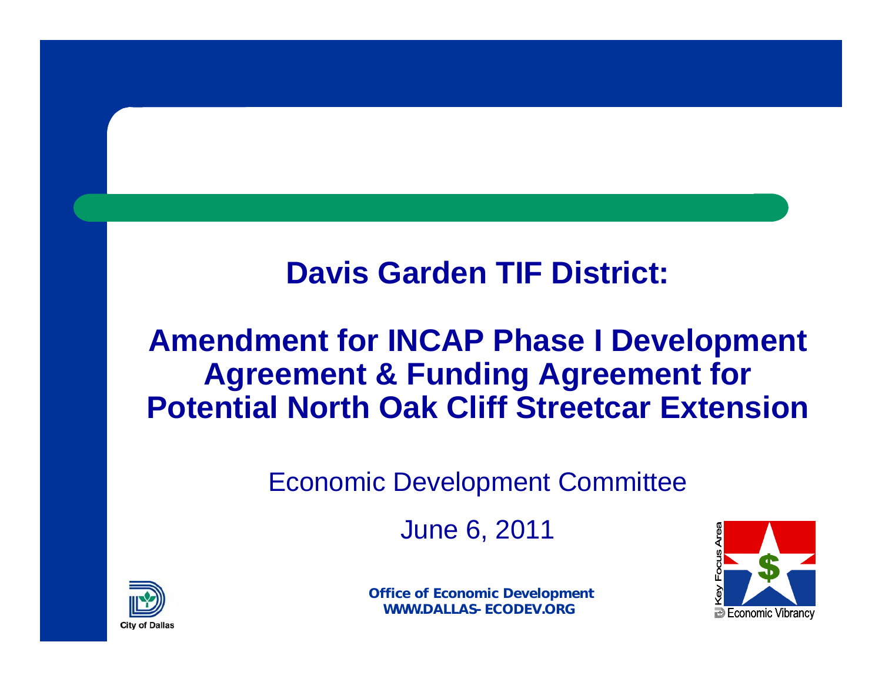## **Davis Garden TIF District:**

## **Amendment for INCAP Phase I Development Agreement & Funding Agreement for Potential North Oak Cliff Streetcar Extension**

#### Economic Development Committee

June 6, 2011



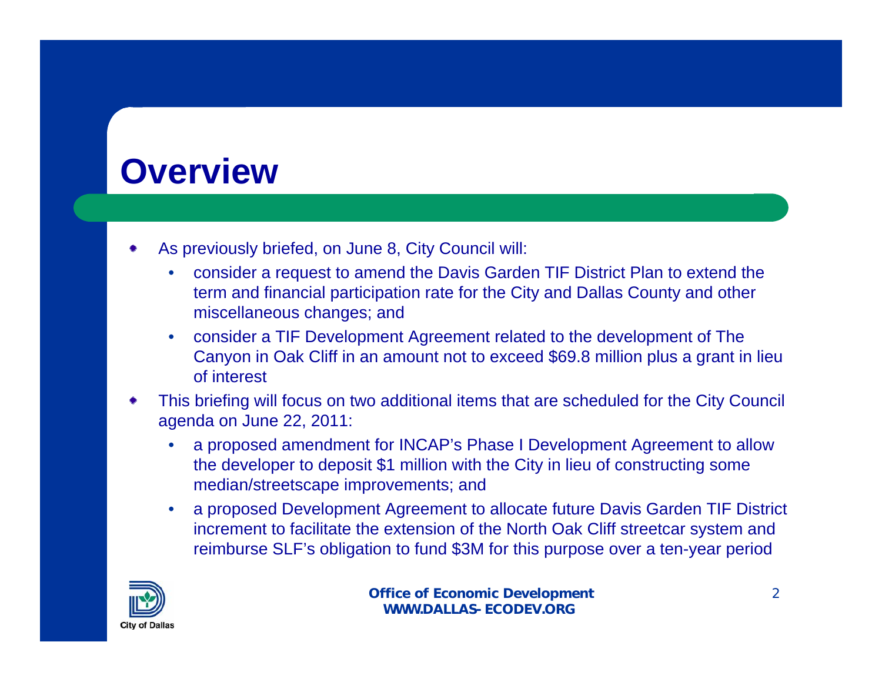## **Overview**

- As previously briefed, on June 8, City Council will:
	- consider a request to amend the Davis Garden TIF District Plan to extend the term and financial participation rate for the City and Dallas County and other miscellaneous changes; and
	- consider a TIF Development Agreement related to the development of The Canyon in Oak Cliff in an amount not to exceed \$69.8 million plus a grant in lieu of interest
- This briefing will focus on two additional items that are scheduled for the City Council agenda on June 22, 2011:
	- a proposed amendment for INCAP's Phase I Development Agreement to allow the developer to deposit \$1 million with the City in lieu of constructing some median/streetscape improvements; and
	- a proposed Development Agreement to allocate future Davis Garden TIF District increment to facilitate the extension of the North Oak Cliff streetcar system and reimburse SLF's obligation to fund \$3M for this purpose over a ten-year period

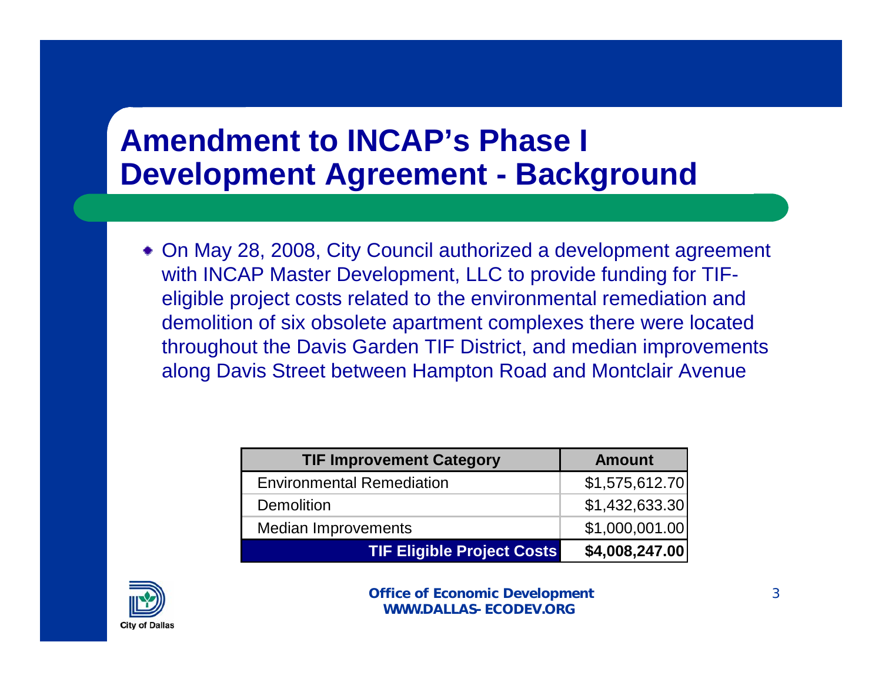## **Amendment to INCAP's Phase I Development Agreement - Background**

On May 28, 2008, City Council authorized a development agreement with INCAP Master Development, LLC to provide funding for TIFeligible project costs related to the environmental remediation and demolition of six obsolete apartment complexes there were located throughout the Davis Garden TIF District, and median improvements along Davis Street between Hampton Road and Montclair Avenue

| <b>TIF Improvement Category</b>   | <b>Amount</b>  |  |  |
|-----------------------------------|----------------|--|--|
| <b>Environmental Remediation</b>  | \$1,575,612.70 |  |  |
| <b>Demolition</b>                 | \$1,432,633.30 |  |  |
| <b>Median Improvements</b>        | \$1,000,001.00 |  |  |
| <b>TIF Eligible Project Costs</b> | \$4,008,247.00 |  |  |

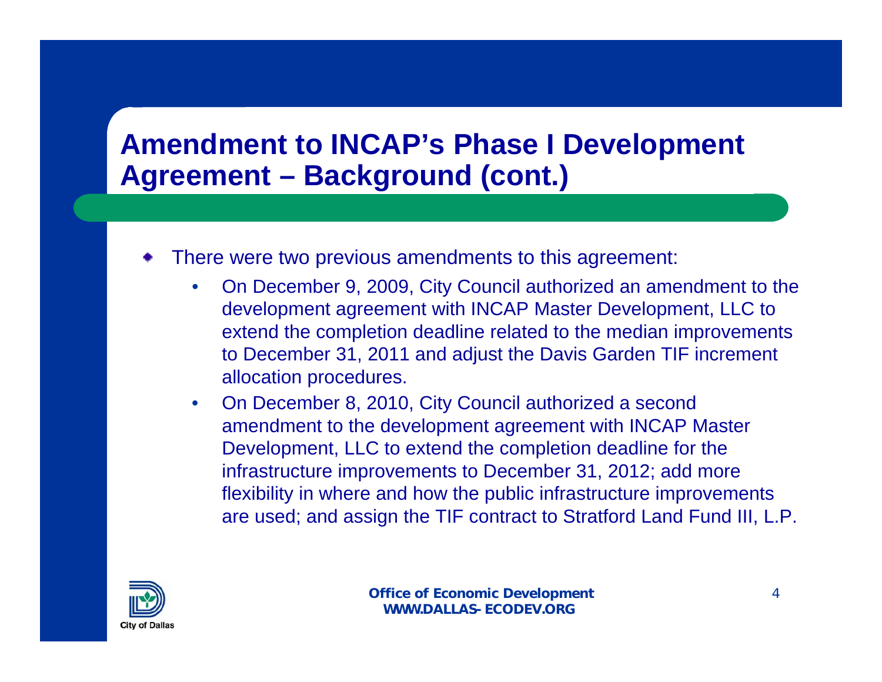## **Amendment to INCAP's Phase I Development Agreement – Background (cont.)**

- There were two previous amendments to this agreement:
	- On December 9, 2009, City Council authorized an amendment to the development agreement with INCAP Master Development, LLC to extend the completion deadline related to the median improvements to December 31, 2011 and adjust the Davis Garden TIF increment allocation procedures.
	- On December 8, 2010, City Council authorized a second amendment to the development agreement with INCAP Master Development, LLC to extend the completion deadline for the infrastructure improvements to December 31, 2012; add more flexibility in where and how the public infrastructure improvements are used; and assign the TIF contract to Stratford Land Fund III, L.P.

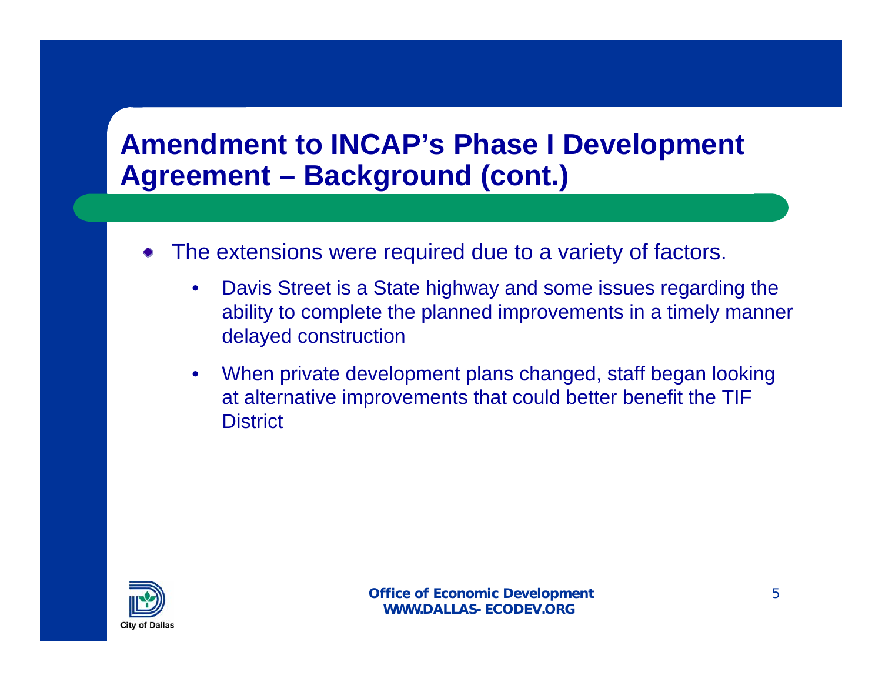## **Amendment to INCAP's Phase I Development Agreement – Background (cont.)**

- The extensions were required due to a variety of factors.
	- Davis Street is a State highway and some issues regarding the ability to complete the planned improvements in a timely manner delayed construction
	- When private development plans changed, staff began looking at alternative improvements that could better benefit the TIF **District**

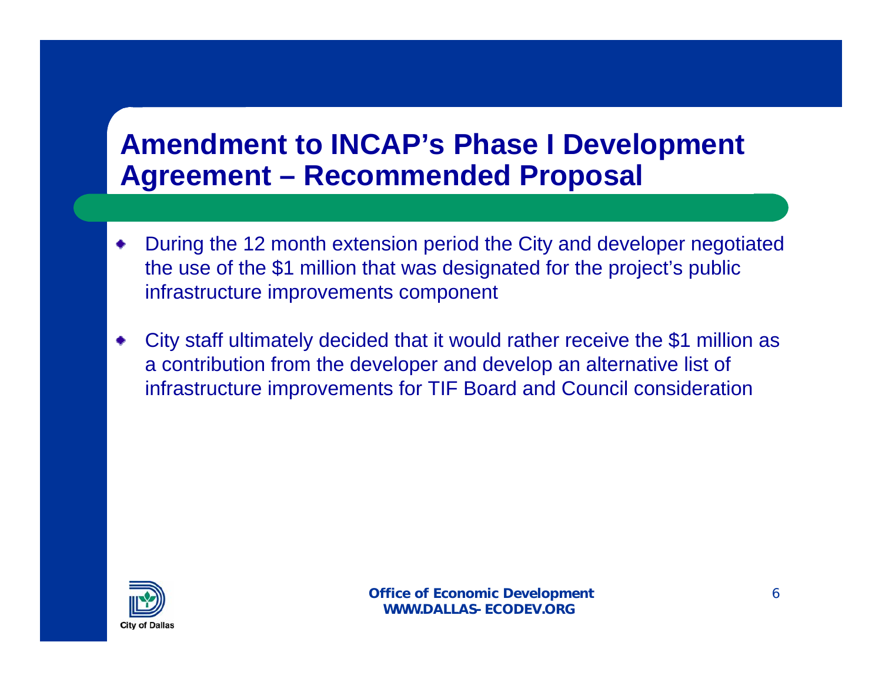### **Amendment to INCAP's Phase I Development Agreement – Recommended Proposal**

- During the 12 month extension period the City and developer negotiated the use of the \$1 million that was designated for the project's public infrastructure improvements component
- City staff ultimately decided that it would rather receive the \$1 million as a contribution from the developer and develop an alternative list of infrastructure improvements for TIF Board and Council consideration

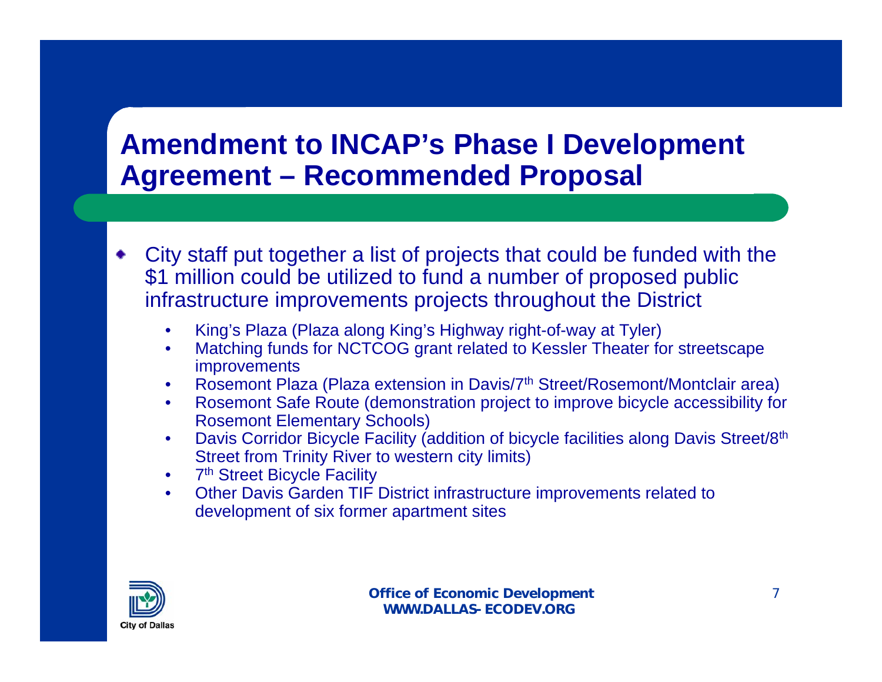### **Amendment to INCAP's Phase I Development Agreement – Recommended Proposal**

- City staff put together a list of projects that could be funded with the \$1 million could be utilized to fund a number of proposed public infrastructure improvements projects throughout the District
	- King's Plaza (Plaza along King's Highway right-of-way at Tyler)
	- Matching funds for NCTCOG grant related to Kessler Theater for streetscape **improvements**
	- Rosemont Plaza (Plaza extension in Davis/7<sup>th</sup> Street/Rosemont/Montclair area)
	- Rosemont Safe Route (demonstration project to improve bicycle accessibility for Rosemont Elementary Schools)
	- Davis Corridor Bicycle Facility (addition of bicycle facilities along Davis Street/8<sup>th</sup> Street from Trinity River to western city limits)
	- 7<sup>th</sup> Street Bicycle Facility
	- Other Davis Garden TIF District infrastructure improvements related to development of six former apartment sites

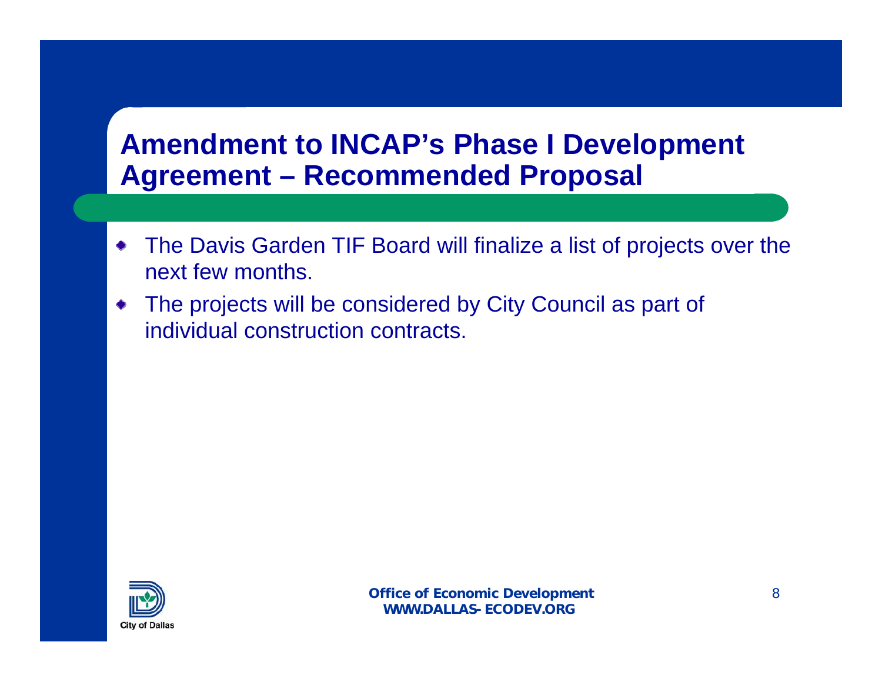### **Amendment to INCAP's Phase I Development Agreement – Recommended Proposal**

- The Davis Garden TIF Board will finalize a list of projects over the  $\bullet$ next few months.
- The projects will be considered by City Council as part of ۰ individual construction contracts.

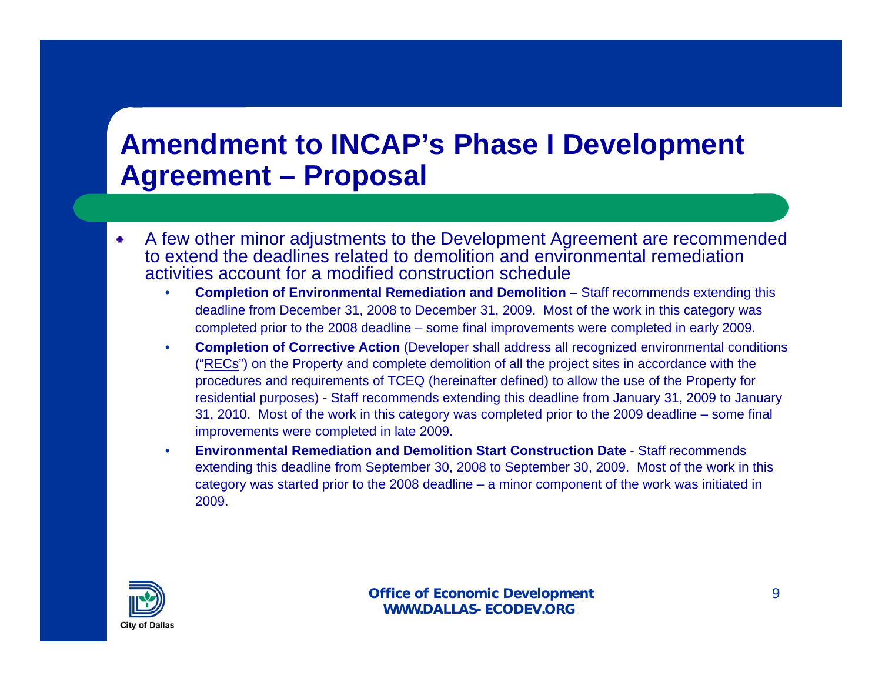### **Amendment to INCAP's Phase I Development Agreement – Proposal**

- A few other minor adjustments to the Development Agreement are recommended ۰ to extend the deadlines related to demolition and environmental remediation activities account for a modified construction schedule
	- **Completion of Environmental Remediation and Demolition**  Staff recommends extending this deadline from December 31, 2008 to December 31, 2009. Most of the work in this category was completed prior to the 2008 deadline – some final improvements were completed in early 2009.
	- **Completion of Corrective Action** (Developer shall address all recognized environmental conditions ("RECs") on the Property and complete demolition of all the project sites in accordance with the procedures and requirements of TCEQ (hereinafter defined) to allow the use of the Property for residential purposes) - Staff recommends extending this deadline from January 31, 2009 to January 31, 2010. Most of the work in this category was completed prior to the 2009 deadline – some final improvements were completed in late 2009.
	- **Environmental Remediation and Demolition Start Construction Date**  Staff recommends extending this deadline from September 30, 2008 to September 30, 2009. Most of the work in this category was started prior to the 2008 deadline – a minor component of the work was initiated in 2009.

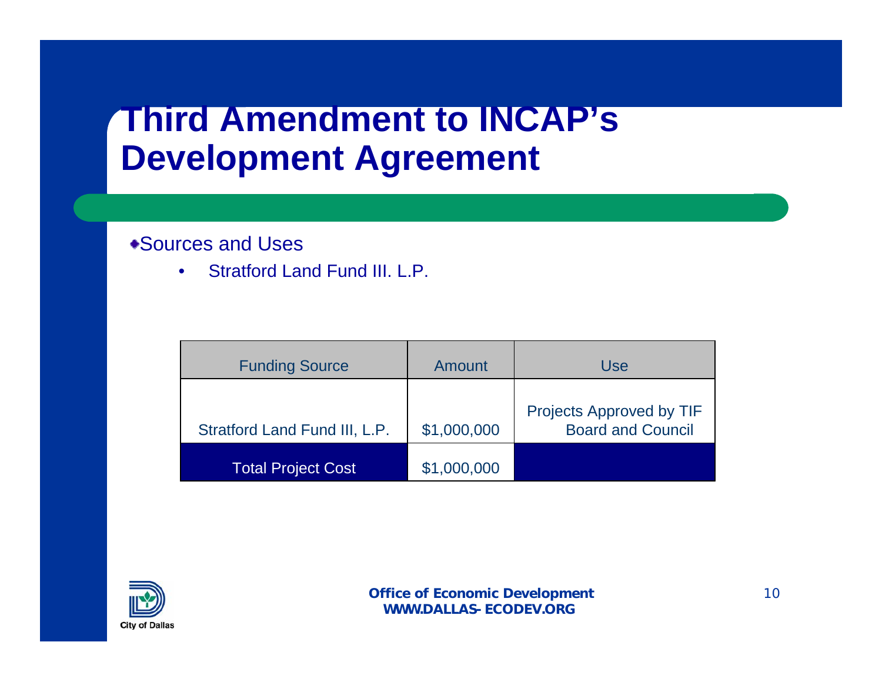## **Third Amendment to INCAP's Development Agreement**

#### Sources and Uses

• Stratford Land Fund III. L.P.

| <b>Funding Source</b>         | Amount      | Use                                                         |
|-------------------------------|-------------|-------------------------------------------------------------|
| Stratford Land Fund III, L.P. | \$1,000,000 | <b>Projects Approved by TIF</b><br><b>Board and Council</b> |
| <b>Total Project Cost</b>     | \$1,000,000 |                                                             |

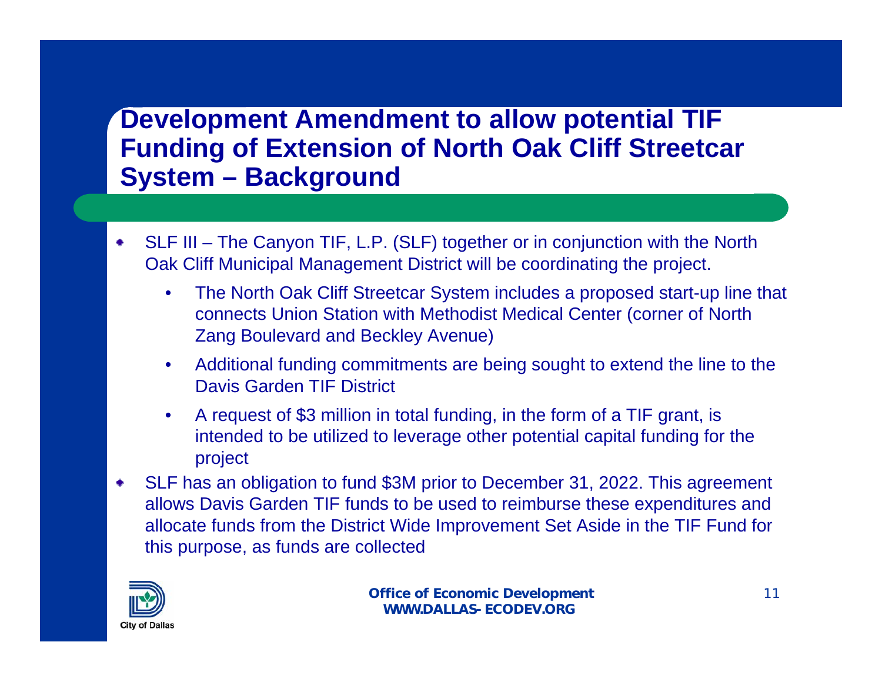#### **Development Amendment to allow potential TIF Funding of Extension of North Oak Cliff Streetcar System – Background**

- SLF III The Canyon TIF, L.P. (SLF) together or in conjunction with the North ۰ Oak Cliff Municipal Management District will be coordinating the project.
	- The North Oak Cliff Streetcar System includes a proposed start-up line that connects Union Station with Methodist Medical Center (corner of North Zang Boulevard and Beckley Avenue)
	- Additional funding commitments are being sought to extend the line to the Davis Garden TIF District
	- A request of \$3 million in total funding, in the form of a TIF grant, is intended to be utilized to leverage other potential capital funding for the project
- SLF has an obligation to fund \$3M prior to December 31, 2022. This agreement ۰ allows Davis Garden TIF funds to be used to reimburse these expenditures and allocate funds from the District Wide Improvement Set Aside in the TIF Fund for this purpose, as funds are collected

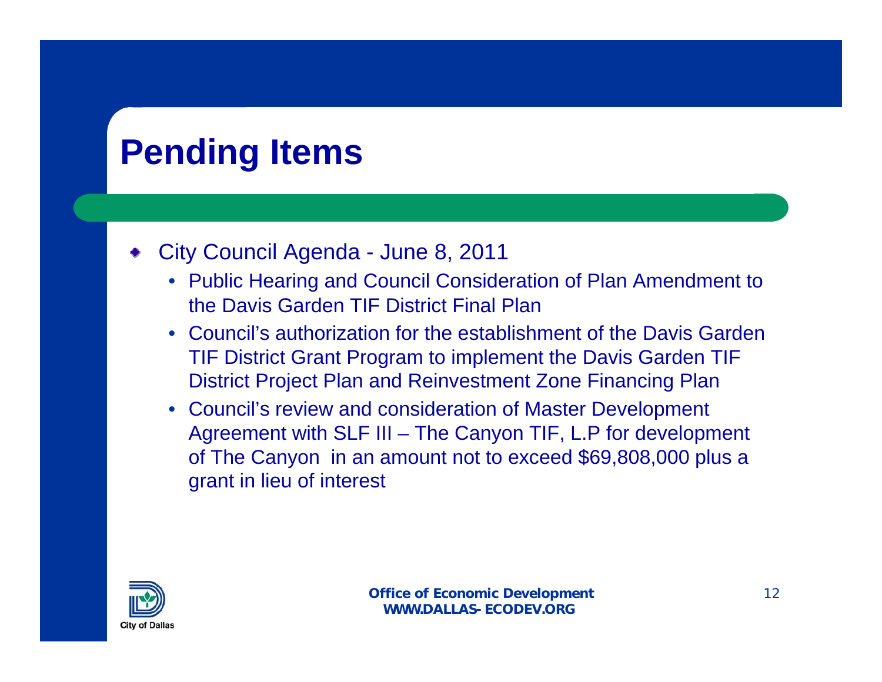## **Pending Items**

#### City Council Agenda - June 8, 2011

- Public Hearing and Council Consideration of Plan Amendment to the Davis Garden TIF District Final Plan
- Council's authorization for the establishment of the Davis Garden TIF District Grant Program to implement the Davis Garden TIF District Project Plan and Reinvestment Zone Financing Plan
- Council's review and consideration of Master Development Agreement with SLF III – The Canyon TIF, L.P for development of The Canyon in an amount not to exceed \$69,808,000 plus a grant in lieu of interest

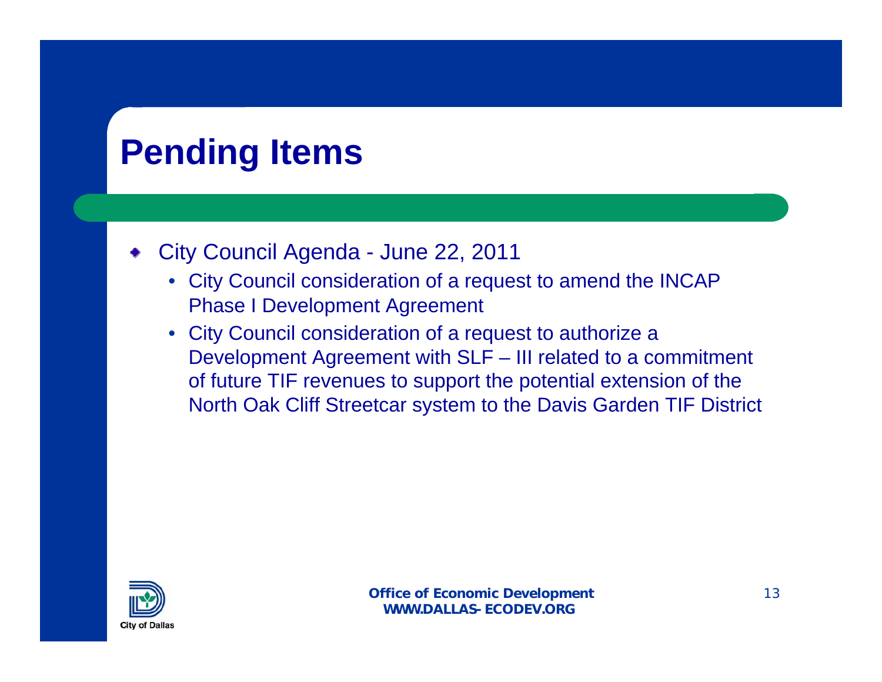## **Pending Items**

- City Council Agenda June 22, 2011
	- City Council consideration of a request to amend the INCAP Phase I Development Agreement
	- City Council consideration of a request to authorize a Development Agreement with SLF – III related to a commitment of future TIF revenues to support the potential extension of the North Oak Cliff Streetcar system to the Davis Garden TIF District

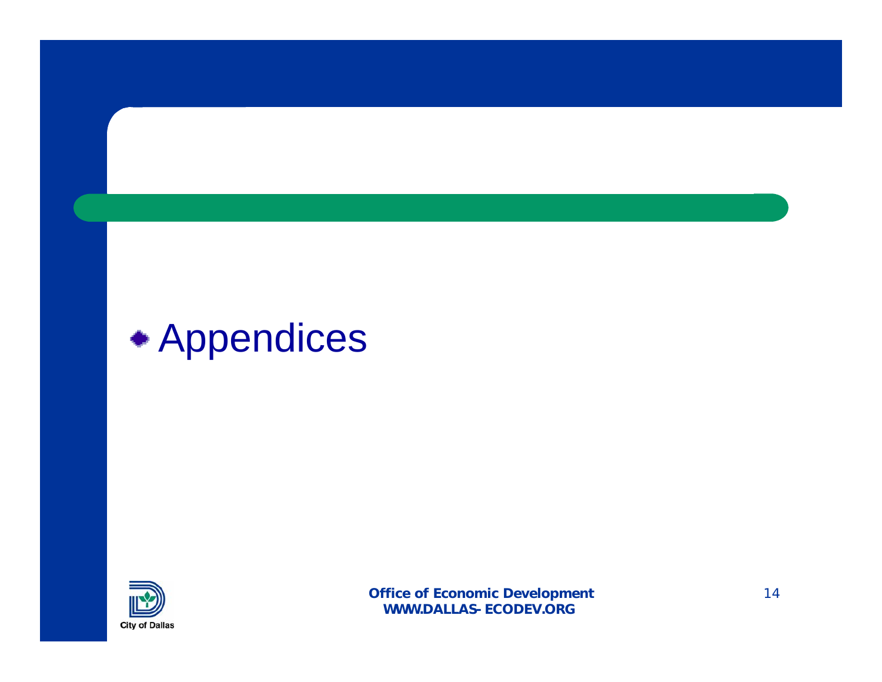# Appendices

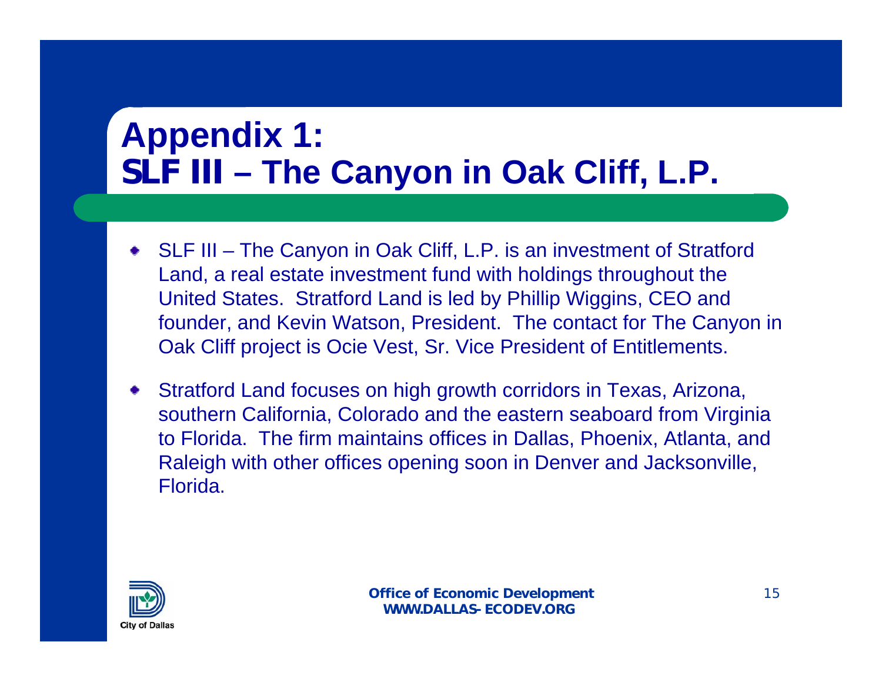# **Appendix 1: SLF III – The Canyon in Oak Cliff, L.P.**

- SLF III The Canyon in Oak Cliff, L.P. is an investment of Stratford Land, a real estate investment fund with holdings throughout the United States. Stratford Land is led by Phillip Wiggins, CEO and founder, and Kevin Watson, President. The contact for The Canyon in Oak Cliff project is Ocie Vest, Sr. Vice President of Entitlements.
- Stratford Land focuses on high growth corridors in Texas, Arizona, southern California, Colorado and the eastern seaboard from Virginia to Florida. The firm maintains offices in Dallas, Phoenix, Atlanta, and Raleigh with other offices opening soon in Denver and Jacksonville, Florida.

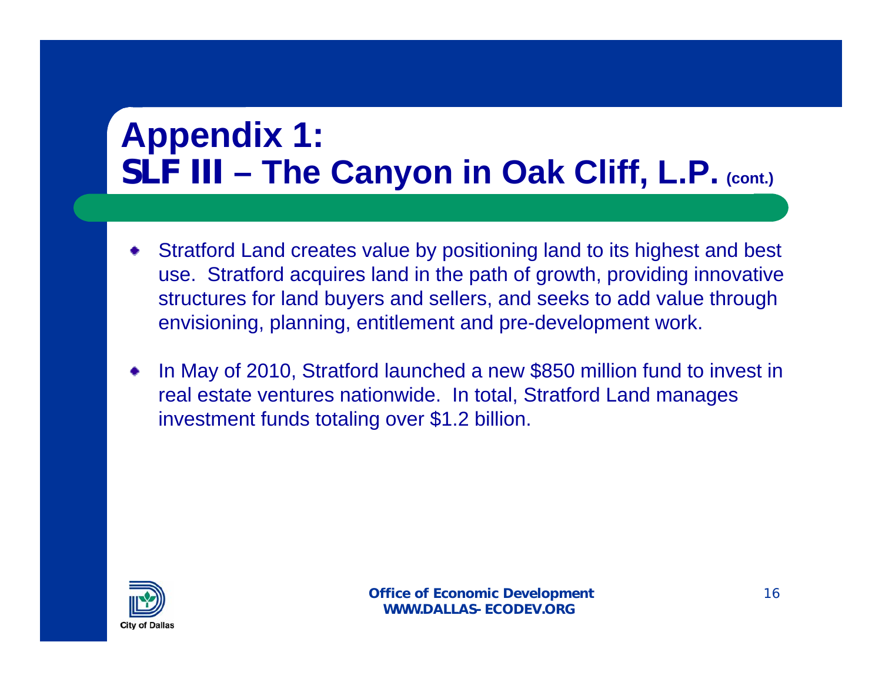# **Appendix 1: SLF III – The Canyon in Oak Cliff, L.P. (cont.)**

- Stratford Land creates value by positioning land to its highest and best use. Stratford acquires land in the path of growth, providing innovative structures for land buyers and sellers, and seeks to add value through envisioning, planning, entitlement and pre-development work.
- In May of 2010, Stratford launched a new \$850 million fund to invest in real estate ventures nationwide. In total, Stratford Land manages investment funds totaling over \$1.2 billion.

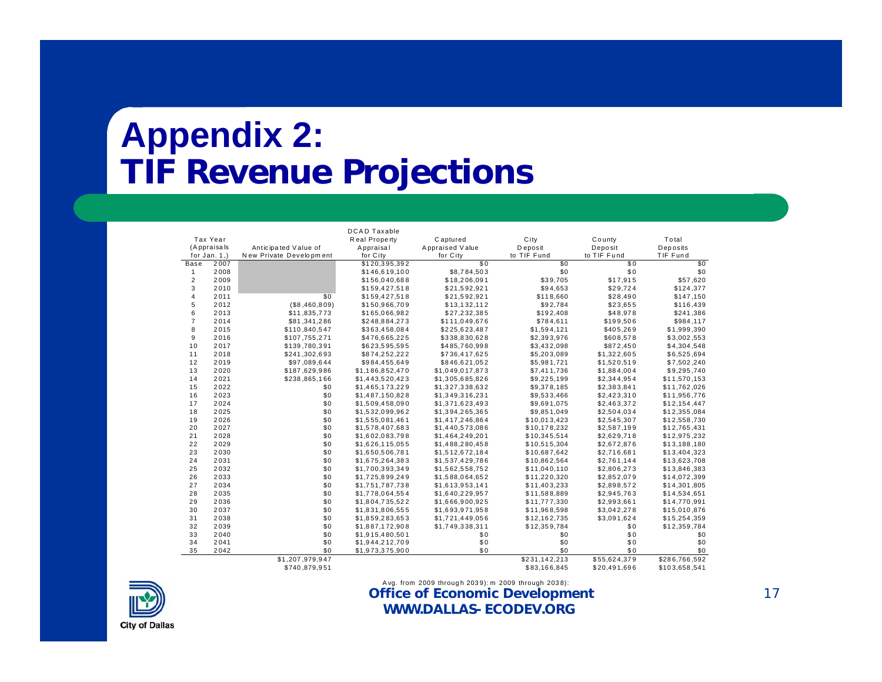## **Appendix 2: TIF Revenue Projections**

|                |                 |                         | <b>DCAD Taxable</b> |                 |               |              |               |
|----------------|-----------------|-------------------------|---------------------|-----------------|---------------|--------------|---------------|
|                | Tax Year        |                         | Real Property       | Captured        | City          | County       | Total         |
|                | (Appraisals     | Anticipated Value of    | Appraisal           | Appraised Value | D eposit      | Deposit      | Deposits      |
|                | for $Jan. 1$ .) | New Private Development | for City            | for City        | to TIF Fund   | to TIF Fund  | TIF Fund      |
| Base           | 2007            |                         | \$120,395,392       | \$0             | \$0           | \$0          | \$0           |
| 1              | 2008            |                         | \$146,619,100       | \$8,784,503     | \$0           | \$0          | \$0           |
| $\overline{2}$ | 2009            |                         | \$156,040,688       | \$18,206,091    | \$39,705      | \$17,915     | \$57,620      |
| 3              | 2010            |                         | \$159,427,518       | \$21,592,921    | \$94,653      | \$29,724     | \$124,377     |
| 4              | 2011            | \$0                     | \$159,427,518       | \$21,592,921    | \$118,660     | \$28,490     | \$147,150     |
| 5              | 2012            | ( \$8,460,809)          | \$150,966,709       | \$13,132,112    | \$92,784      | \$23,655     | \$116,439     |
| 6              | 2013            | \$11,835,773            | \$165,066,982       | \$27,232,385    | \$192,408     | \$48,978     | \$241,386     |
| $\overline{7}$ | 2014            | \$81,341,286            | \$248,884,273       | \$111,049,676   | \$784,611     | \$199,506    | \$984,117     |
| 8              | 2015            | \$110,840,547           | \$363,458,084       | \$225,623,487   | \$1,594,121   | \$405,269    | \$1,999,390   |
| 9              | 2016            | \$107,755,271           | \$476,665,225       | \$338,830,628   | \$2,393,976   | \$608,578    | \$3,002,553   |
| 10             | 2017            | \$139,780,391           | \$623,595,595       | \$485,760,998   | \$3,432,098   | \$872,450    | \$4,304,548   |
| 11             | 2018            | \$241,302,693           | \$874,252,222       | \$736,417,625   | \$5,203,089   | \$1,322,605  | \$6,525,694   |
| 12             | 2019            | \$97,089,644            | \$984,455,649       | \$846,621,052   | \$5,981,721   | \$1,520,519  | \$7,502,240   |
| 13             | 2020            | \$187,629,986           | \$1,186,852,470     | \$1,049,017,873 | \$7,411,736   | \$1,884,004  | \$9,295,740   |
| 14             | 2021            | \$238,865,166           | \$1,443,520,423     | \$1,305,685,826 | \$9,225,199   | \$2,344,954  | \$11,570,153  |
| 15             | 2022            | \$0                     | \$1,465,173,229     | \$1,327,338,632 | \$9,378,185   | \$2,383,841  | \$11,762,026  |
| 16             | 2023            | \$0                     | \$1,487,150,828     | \$1,349,316,231 | \$9,533,466   | \$2,423,310  | \$11,956,776  |
| 17             | 2024            | \$0                     | \$1,509,458,090     | \$1,371,623,493 | \$9,691,075   | \$2,463,372  | \$12,154,447  |
| 18             | 2025            | \$0                     | \$1,532,099,962     | \$1,394,265,365 | \$9,851,049   | \$2,504,034  | \$12,355,084  |
| 19             | 2026            | \$0                     | \$1,555,081,461     | \$1,417,246,864 | \$10,013,423  | \$2,545,307  | \$12,558,730  |
| 20             | 2027            | \$0                     | \$1,578,407,683     | \$1,440,573,086 | \$10,178,232  | \$2,587,199  | \$12,765,431  |
| 21             | 2028            | \$0                     | \$1,602,083,798     | \$1,464,249,201 | \$10,345,514  | \$2,629,718  | \$12,975,232  |
| 22             | 2029            | \$0                     | \$1.626.115.055     | \$1.488.280.458 | \$10.515.304  | \$2.672.876  | \$13,188,180  |
| 23             | 2030            | \$0                     | \$1,650,506,781     | \$1,512,672,184 | \$10,687,642  | \$2,716,681  | \$13,404,323  |
| 24             | 2031            | \$0                     | \$1,675,264,383     | \$1,537,429,786 | \$10,862,564  | \$2,761,144  | \$13,623,708  |
| 25             | 2032            | \$0                     | \$1,700,393,349     | \$1,562,558,752 | \$11,040,110  | \$2,806,273  | \$13,846,383  |
| 26             | 2033            | \$0                     | \$1,725,899,249     | \$1,588,064,652 | \$11,220,320  | \$2,852,079  | \$14,072,399  |
| 27             | 2034            | \$0                     | \$1,751,787,738     | \$1,613,953,141 | \$11,403,233  | \$2,898,572  | \$14,301,805  |
| 28             | 2035            | \$0                     | \$1,778,064,554     | \$1,640,229,957 | \$11,588,889  | \$2,945,763  | \$14,534,651  |
| 29             | 2036            | \$0                     | \$1,804,735,522     | \$1,666,900,925 | \$11,777,330  | \$2,993,661  | \$14,770,991  |
| 30             | 2037            | \$0                     | \$1,831,806,555     | \$1,693,971,958 | \$11,968,598  | \$3,042,278  | \$15,010,876  |
| 31             | 2038            | \$0                     | \$1,859,283,653     | \$1,721,449,056 | \$12,162,735  | \$3,091,624  | \$15,254,359  |
| 32             | 2039            | \$0                     | \$1,887,172,908     | \$1,749,338,311 | \$12,359,784  | \$0          | \$12,359,784  |
| 33             | 2040            | \$0                     | \$1,915,480,501     | \$0             | \$0           | \$0          | \$0           |
| 34             | 2041            | \$0                     | \$1,944,212,709     | \$0             | \$0           | \$0          | \$0           |
| 35             | 2042            | \$0                     | \$1,973,375,900     | \$0             | \$0           | \$0          | \$0           |
|                |                 | \$1,207,979,947         |                     |                 | \$231,142,213 | \$55,624,379 | \$286,766,592 |
|                |                 | \$740,879,951           |                     |                 | \$83,166,845  | \$20,491,696 | \$103,658,541 |



#### **Office of Economic Development WWW.DALLAS-ECODEV.ORG**Avg. from 2009 through 2039): m 2009 through 2038):